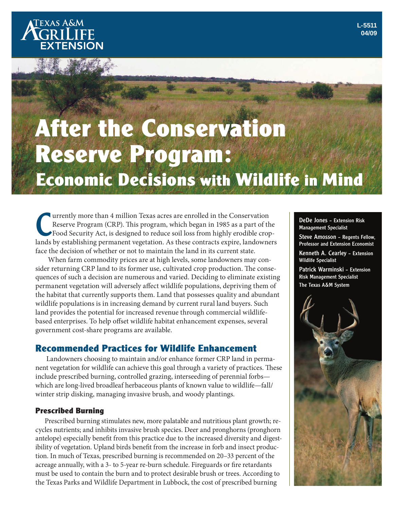# **After the Conservation Reserve Program: Economic Decisions with Wildlife in Mind**

The United States are stated in the Conservation<br>Reserve Program (CRP). This program, which began in 1985 as a part of the<br>Food Security Act, is designed to reduce soil loss from highly erodible crop-<br>lands by establishing urrently more than 4 million Texas acres are enrolled in the Conservation Reserve Program (CRP). This program, which began in 1985 as a part of the Food Security Act, is designed to reduce soil loss from highly erodible cropface the decision of whether or not to maintain the land in its current state.

 When farm commodity prices are at high levels, some landowners may consider returning CRP land to its former use, cultivated crop production. The consequences of such a decision are numerous and varied. Deciding to eliminate existing permanent vegetation will adversely affect wildlife populations, depriving them of the habitat that currently supports them. Land that possesses quality and abundant wildlife populations is in increasing demand by current rural land buyers. Such land provides the potential for increased revenue through commercial wildlifebased enterprises. To help offset wildlife habitat enhancement expenses, several government cost-share programs are available.

# **Recommended Practices for Wildlife Enhancement**

 Landowners choosing to maintain and/or enhance former CRP land in permanent vegetation for wildlife can achieve this goal through a variety of practices. These include prescribed burning, controlled grazing, interseeding of perennial forbs which are long-lived broadleaf herbaceous plants of known value to wildlife—fall/ winter strip disking, managing invasive brush, and woody plantings.

# **Prescribed Burning**

Prescribed burning stimulates new, more palatable and nutritious plant growth; recycles nutrients; and inhibits invasive brush species. Deer and pronghorns (pronghorn antelope) especially benefit from this practice due to the increased diversity and digestibility of vegetation. Upland birds benefit from the increase in forb and insect production. In much of Texas, prescribed burning is recommended on 20–33 percent of the acreage annually, with a 3- to 5-year re-burn schedule. Fireguards or fire retardants must be used to contain the burn and to protect desirable brush or trees. According to the Texas Parks and Wildlife Department in Lubbock, the cost of prescribed burning

DeDe Jones – Extension Risk Management Specialist

Steve Amosson – Regents Fellow, Professor and Extension Economist

Kenneth A. Cearley – Extension Wildlife Specialist

Patrick Warminski – Extension Risk Management Specialist The Texas A&M System

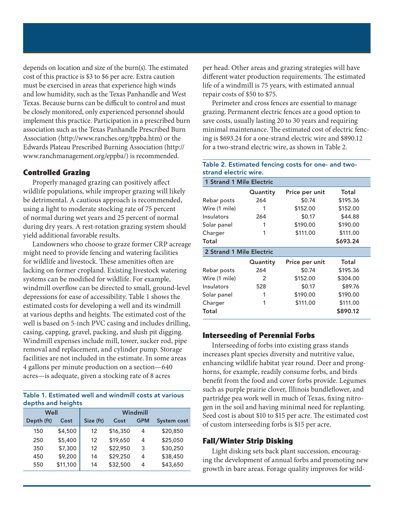depends on location and size of the burn(s). The estimated cost of this practice is \$3 to \$6 per acre. Extra caution must be exercised in areas that experience high winds and low humidity, such as the Texas Panhandle and West Texas. Because burns can be difficult to control and must be closely monitored, only experienced personnel should implement this practice. Participation in a prescribed burn association such as the Texas Panhandle Prescribed Burn Association (http://www.ranches.org/tppba.htm) or the Edwards Plateau Prescribed Burning Association (http:// www.ranchmanagement.org/eppba/) is recommended.

## **Controlled Grazing**

Properly managed grazing can positively affect wildlife populations, while improper grazing will likely be detrimental. A cautious approach is recommended, using a light to moderate stocking rate of 75 percent of normal during wet years and 25 percent of normal during dry years. A rest-rotation grazing system should yield additional favorable results.

Landowners who choose to graze former CRP acreage might need to provide fencing and watering facilities for wildlife and livestock. These amenities often are lacking on former cropland. Existing livestock watering systems can be modified for wildlife. For example, windmill overflow can be directed to small, ground-level depressions for ease of accessibility. Table 1 shows the estimated costs for developing a well and its windmill at various depths and heights. The estimated cost of the well is based on 5-inch PVC casing and includes drilling, casing, capping, gravel, packing, and slush pit digging. Windmill expenses include mill, tower, sucker rod, pipe removal and replacement, and cylinder pump. Storage facilities are not included in the estimate. In some areas 4 gallons per minute production on a section—640 acres—is adequate, given a stocking rate of 8 acres

#### Table 1. Estimated well and windmill costs at various depths and heights

| Well       |          | Windmill  |          |            |                    |
|------------|----------|-----------|----------|------------|--------------------|
| Depth (ft) | Cost     | Size (ft) | Cost     | <b>GPM</b> | <b>System cost</b> |
| 150        | \$4,500  | 12        | \$16,350 | 4          | \$20,850           |
| 250        | \$5,400  | 12        | \$19,650 | 4          | \$25,050           |
| 350        | \$7,300  | 12        | \$22,950 | 3          | \$30,250           |
| 450        | \$9,200  | 14        | \$29,250 | 4          | \$38,450           |
| 550        | \$11,100 | 14        | \$32,500 | 4          | \$43,650           |

per head. Other areas and grazing strategies will have different water production requirements. The estimated life of a windmill is 75 years, with estimated annual repair costs of \$50 to \$75.

Perimeter and cross fences are essential to manage grazing. Permanent electric fences are a good option to save costs, usually lasting 20 to 30 years and requiring minimal maintenance. The estimated cost of electric fencing is \$693.24 for a one-strand electric wire and \$890.12 for a two-strand electric wire, as shown in Table 2.

#### Table 2. Estimated fencing costs for one- and twostrand electric wire.

| 1 Strand 1 Mile Electric |          |                |          |  |  |  |  |
|--------------------------|----------|----------------|----------|--|--|--|--|
|                          | Quantity | Price per unit | Total    |  |  |  |  |
| Rebar posts              | 264      | \$0.74         | \$195.36 |  |  |  |  |
| Wire (1 mile)            | 1        | \$152.00       | \$152.00 |  |  |  |  |
| Insulators               | 264      | \$0.17         | \$44.88  |  |  |  |  |
| Solar panel              | 1        | \$190.00       | \$190.00 |  |  |  |  |
| Charger                  | 1        | \$111.00       | \$111.00 |  |  |  |  |
| Total                    |          |                | \$693.24 |  |  |  |  |
| 2 Strand 1 Mile Electric |          |                |          |  |  |  |  |
|                          | Quantity | Price per unit | Total    |  |  |  |  |
| Rebar posts              | 264      | \$0.74         | \$195.36 |  |  |  |  |
| Wire (1 mile)            | 2        | \$152.00       | \$304.00 |  |  |  |  |
| Insulators               | 528      | \$0.17         | \$89.76  |  |  |  |  |
| Solar panel              | 1        | \$190.00       | \$190.00 |  |  |  |  |
| Charger                  | 1        | \$111.00       | \$111.00 |  |  |  |  |
| Total                    |          |                | \$890.12 |  |  |  |  |

## **Interseeding of Perennial Forbs**

Interseeding of forbs into existing grass stands increases plant species diversity and nutritive value, enhancing wildlife habitat year round. Deer and pronghorns, for example, readily consume forbs, and birds benefit from the food and cover forbs provide. Legumes such as purple prairie clover, Illinois bundleflower, and partridge pea work well in much of Texas, fixing nitrogen in the soil and having minimal need for replanting. Seed cost is about \$10 to \$15 per acre. The estimated cost of custom interseeding forbs is \$15 per acre.

## **Fall/Winter Strip Disking**

Light disking sets back plant succession, encouraging the development of annual forbs and promoting new growth in bare areas. Forage quality improves for wild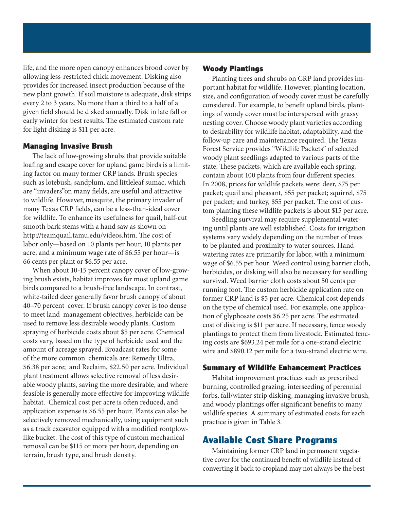life, and the more open canopy enhances brood cover by allowing less-restricted chick movement. Disking also provides for increased insect production because of the new plant growth. If soil moisture is adequate, disk strips every 2 to 3 years. No more than a third to a half of a given field should be disked annually. Disk in late fall or early winter for best results. The estimated custom rate for light disking is \$11 per acre.

#### **Managing Invasive Brush**

The lack of low-growing shrubs that provide suitable loafing and escape cover for upland game birds is a limiting factor on many former CRP lands. Brush species such as lotebush, sandplum, and littleleaf sumac, which are "invaders"on many fields, are useful and attractive to wildlife. However, mesquite, the primary invader of many Texas CRP fields, can be a less-than-ideal cover for wildlife. To enhance its usefulness for quail, half-cut smooth bark stems with a hand saw as shown on http://teamquail.tamu.edu/videos.htm. The cost of labor only—based on 10 plants per hour, 10 plants per acre, and a minimum wage rate of \$6.55 per hour—is 66 cents per plant or \$6.55 per acre.

When about 10-15 percent canopy cover of low-growing brush exists, habitat improves for most upland game birds compared to a brush-free landscape. In contrast, white-tailed deer generally favor brush canopy of about 40–70 percent cover. If brush canopy cover is too dense to meet land management objectives, herbicide can be used to remove less desirable woody plants. Custom spraying of herbicide costs about \$5 per acre. Chemical costs vary, based on the type of herbicide used and the amount of acreage sprayed. Broadcast rates for some of the more common chemicals are: Remedy Ultra, \$6.38 per acre; and Reclaim, \$22.50 per acre. Individual plant treatment allows selective removal of less desirable woody plants, saving the more desirable, and where feasible is generally more effective for improving wildlife habitat. Chemical cost per acre is often reduced, and application expense is \$6.55 per hour. Plants can also be selectively removed mechanically, using equipment such as a track excavator equipped with a modified rootplowlike bucket. The cost of this type of custom mechanical removal can be \$115 or more per hour, depending on terrain, brush type, and brush density.

#### **Woody Plantings**

Planting trees and shrubs on CRP land provides important habitat for wildlife. However, planting location, size, and configuration of woody cover must be carefully considered. For example, to benefit upland birds, plantings of woody cover must be interspersed with grassy nesting cover. Choose woody plant varieties according to desirability for wildlife habitat, adaptability, and the follow-up care and maintenance required. The Texas Forest Service provides "Wildlife Packets" of selected woody plant seedlings adapted to various parts of the state. These packets, which are available each spring, contain about 100 plants from four different species. In 2008, prices for wildlife packets were: deer, \$75 per packet; quail and pheasant, \$55 per packet; squirrel, \$75 per packet; and turkey, \$55 per packet. The cost of custom planting these wildlife packets is about \$15 per acre.

Seedling survival may require supplemental watering until plants are well established. Costs for irrigation systems vary widely depending on the number of trees to be planted and proximity to water sources. Handwatering rates are primarily for labor, with a minimum wage of \$6.55 per hour. Weed control using barrier cloth, herbicides, or disking will also be necessary for seedling survival. Weed barrier cloth costs about 50 cents per running foot. The custom herbicide application rate on former CRP land is \$5 per acre. Chemical cost depends on the type of chemical used. For example, one application of glyphosate costs \$6.25 per acre. The estimated cost of disking is \$11 per acre. If necessary, fence woody plantings to protect them from livestock. Estimated fencing costs are \$693.24 per mile for a one-strand electric wire and \$890.12 per mile for a two-strand electric wire.

#### **Summary of Wildlife Enhancement Practices**

Habitat improvement practices such as prescribed burning, controlled grazing, interseeding of perennial forbs, fall/winter strip disking, managing invasive brush, and woody plantings offer significant benefits to many wildlife species. A summary of estimated costs for each practice is given in Table 3.

# **Available Cost Share Programs**

Maintaining former CRP land in permanent vegetative cover for the continued benefit of wildlife instead of converting it back to cropland may not always be the best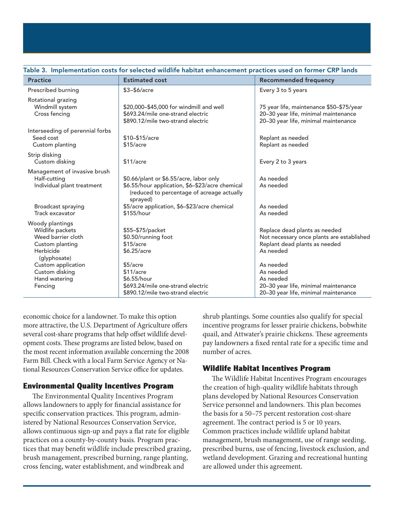| <b>Practice</b>                                                                                           | <b>Estimated cost</b>                                                                                                                                | <b>Recommended frequency</b>                                                                                             |
|-----------------------------------------------------------------------------------------------------------|------------------------------------------------------------------------------------------------------------------------------------------------------|--------------------------------------------------------------------------------------------------------------------------|
| Prescribed burning                                                                                        | $$3-$6/acre$                                                                                                                                         | Every 3 to 5 years                                                                                                       |
| Rotational grazing<br>Windmill system<br>Cross fencing                                                    | \$20,000-\$45,000 for windmill and well<br>\$693.24/mile one-strand electric<br>\$890.12/mile two-strand electric                                    | 75 year life, maintenance \$50-\$75/year<br>20-30 year life, minimal maintenance<br>20-30 year life, minimal maintenance |
| Interseeding of perennial forbs<br>Seed cost<br>Custom planting                                           | \$10-\$15/acre<br>\$15/acre                                                                                                                          | Replant as needed<br>Replant as needed                                                                                   |
| Strip disking<br>Custom disking                                                                           | \$11/accre                                                                                                                                           | Every 2 to 3 years                                                                                                       |
| Management of invasive brush<br>Half-cutting<br>Individual plant treatment                                | \$0.66/plant or \$6.55/acre, labor only<br>\$6.55/hour application, \$6-\$23/acre chemical<br>(reduced to percentage of acreage actually<br>sprayed) | As needed<br>As needed                                                                                                   |
| Broadcast spraying<br>Track excavator                                                                     | \$5/acre application, \$6-\$23/acre chemical<br>\$155/hour                                                                                           | As needed<br>As needed                                                                                                   |
| Woody plantings<br>Wildlife packets<br>Weed barrier cloth<br>Custom planting<br>Herbicide<br>(glyphosate) | \$55-\$75/packet<br>\$0.50/running foot<br>\$15/acre<br>\$6.25/acre                                                                                  | Replace dead plants as needed<br>Not necessary once plants are established<br>Replant dead plants as needed<br>As needed |
| Custom application<br>Custom disking<br>Hand watering<br>Fencing                                          | $$5/$ acre<br>\$11/acre<br>\$6.55/hour<br>\$693.24/mile one-strand electric<br>\$890.12/mile two-strand electric                                     | As needed<br>As needed<br>As needed<br>20-30 year life, minimal maintenance<br>20-30 year life, minimal maintenance      |

#### Table 3. Implementation costs for selected wildlife habitat enhancement practices used on former CRP lands

economic choice for a landowner. To make this option more attractive, the U.S. Department of Agriculture offers several cost-share programs that help offset wildlife development costs. These programs are listed below, based on the most recent information available concerning the 2008 Farm Bill. Check with a local Farm Service Agency or National Resources Conservation Service office for updates.

## **Environmental Quality Incentives Program**

The Environmental Quality Incentives Program allows landowners to apply for financial assistance for specific conservation practices. This program, administered by National Resources Conservation Service, allows continuous sign-up and pays a flat rate for eligible practices on a county-by-county basis. Program practices that may benefit wildlife include prescribed grazing, brush management, prescribed burning, range planting, cross fencing, water establishment, and windbreak and

shrub plantings. Some counties also qualify for special incentive programs for lesser prairie chickens, bobwhite quail, and Attwater's prairie chickens. These agreements pay landowners a fixed rental rate for a specific time and number of acres.

## **Wildlife Habitat Incentives Program**

The Wildlife Habitat Incentives Program encourages the creation of high-quality wildlife habitats through plans developed by National Resources Conservation Service personnel and landowners. This plan becomes the basis for a 50–75 percent restoration cost-share agreement. The contract period is 5 or 10 years. Common practices include wildlife upland habitat management, brush management, use of range seeding, prescribed burns, use of fencing, livestock exclusion, and wetland development. Grazing and recreational hunting are allowed under this agreement.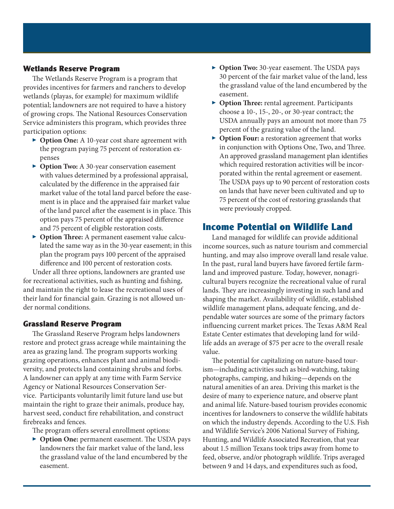## **Wetlands Reserve Program**

The Wetlands Reserve Program is a program that provides incentives for farmers and ranchers to develop wetlands (playas, for example) for maximum wildlife potential; landowners are not required to have a history of growing crops. The National Resources Conservation Service administers this program, which provides three participation options:

- ▶ **Option One:** A 10-year cost share agreement with the program paying 75 percent of restoration expenses
- ▶ **Option Two:** A 30-year conservation easement with values determined by a professional appraisal, calculated by the difference in the appraised fair market value of the total land parcel before the easement is in place and the appraised fair market value of the land parcel after the easement is in place. This option pays 75 percent of the appraised difference and 75 percent of eligible restoration costs.
- ▶ **Option Three:** A permanent easement value calculated the same way as in the 30-year easement; in this plan the program pays 100 percent of the appraised difference and 100 percent of restoration costs.

Under all three options, landowners are granted use for recreational activities, such as hunting and fishing, and maintain the right to lease the recreational uses of their land for financial gain. Grazing is not allowed under normal conditions.

#### **Grassland Reserve Program**

The Grassland Reserve Program helps landowners restore and protect grass acreage while maintaining the area as grazing land. The program supports working grazing operations, enhances plant and animal biodiversity, and protects land containing shrubs and forbs. A landowner can apply at any time with Farm Service Agency or National Resources Conservation Service. Participants voluntarily limit future land use but maintain the right to graze their animals, produce hay, harvest seed, conduct fire rehabilitation, and construct firebreaks and fences.

The program offers several enrollment options:

▶ **Option One:** permanent easement. The USDA pays landowners the fair market value of the land, less the grassland value of the land encumbered by the easement.

- ▶ **Option Two:** 30-year easement. The USDA pays 30 percent of the fair market value of the land, less the grassland value of the land encumbered by the easement.
- ▶ **Option Three:** rental agreement. Participants choose a 10-, 15-, 20-, or 30-year contract; the USDA annually pays an amount not more than 75 percent of the grazing value of the land.
- ▶ **Option Four:** a restoration agreement that works in conjunction with Options One, Two, and Three. An approved grassland management plan identifies which required restoration activities will be incorporated within the rental agreement or easement. The USDA pays up to 90 percent of restoration costs on lands that have never been cultivated and up to 75 percent of the cost of restoring grasslands that were previously cropped.

# **Income Potential on Wildlife Land**

Land managed for wildlife can provide additional income sources, such as nature tourism and commercial hunting, and may also improve overall land resale value. In the past, rural land buyers have favored fertile farmland and improved pasture. Today, however, nonagricultural buyers recognize the recreational value of rural lands. They are increasingly investing in such land and shaping the market. Availability of wildlife, established wildlife management plans, adequate fencing, and dependable water sources are some of the primary factors influencing current market prices. The Texas A&M Real Estate Center estimates that developing land for wildlife adds an average of \$75 per acre to the overall resale value.

The potential for capitalizing on nature-based tourism—including activities such as bird-watching, taking photographs, camping, and hiking—depends on the natural amenities of an area. Driving this market is the desire of many to experience nature, and observe plant and animal life. Nature-based tourism provides economic incentives for landowners to conserve the wildlife habitats on which the industry depends. According to the U.S. Fish and Wildlife Service's 2006 National Survey of Fishing, Hunting, and Wildlife Associated Recreation, that year about 1.5 million Texans took trips away from home to feed, observe, and/or photograph wildlife. Trips averaged between 9 and 14 days, and expenditures such as food,